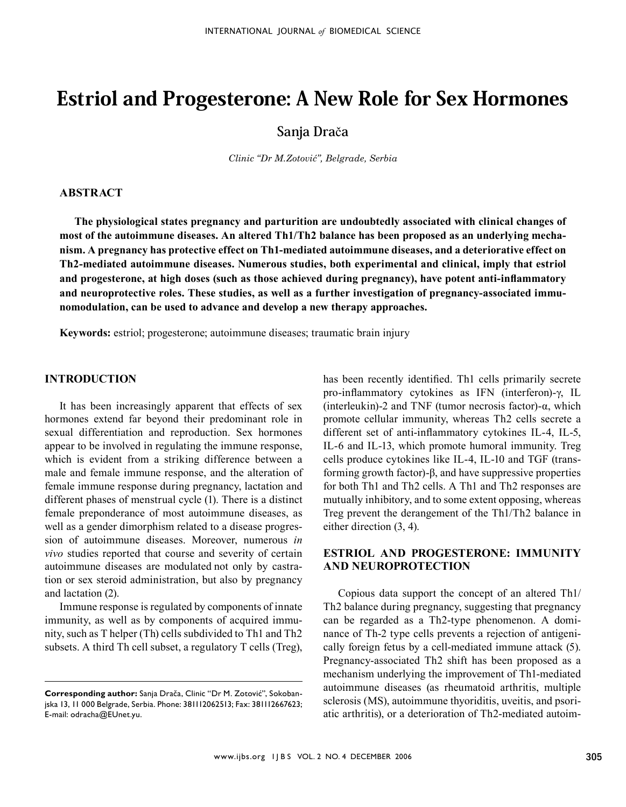# Estriol and Progesterone: A New Role for Sex Hormones

**Sanja Dra**č**a**

*Clinic "Dr M.Zotović", Belgrade, Serbia*

#### **Abstract**

**The physiological states pregnancy and parturition are undoubtedly associated with clinical changes of most of the autoimmune diseases. An altered Th1/Th2 balance has been proposed as an underlying mechanism. A pregnancy has protective effect on Th1-mediated autoimmune diseases, and a deteriorative effect on Th2-mediated autoimmune diseases. Numerous studies, both experimental and clinical, imply that estriol and progesterone, at high doses (such as those achieved during pregnancy), have potent anti-inflammatory and neuroprotective roles. These studies, as well as a further investigation of pregnancy-associated immunomodulation, can be used to advance and develop a new therapy approaches.** 

**Keywords:** estriol; progesterone; autoimmune diseases; traumatic brain injury

### **Introduction**

It has been increasingly apparent that effects of sex hormones extend far beyond their predominant role in sexual differentiation and reproduction. Sex hormones appear to be involved in regulating the immune response, which is evident from a striking difference between a male and female immune response, and the alteration of female immune response during pregnancy, lactation and different phases of menstrual cycle (1). There is a distinct female preponderance of most autoimmune diseases, as well as a gender dimorphism related to a disease progression of autoimmune diseases. Moreover, numerous *in vivo* studies reported that course and severity of certain autoimmune diseases are modulated not only by castration or sex steroid administration, but also by pregnancy and lactation (2).

Immune response is regulated by components of innate immunity, as well as by components of acquired immunity, such as T helper (Th) cells subdivided to Th1 and Th2 subsets. A third Th cell subset, a regulatory T cells (Treg), has been recently identified. Th1 cells primarily secrete pro-inflammatory cytokines as IFN (interferon)-γ, IL (interleukin)-2 and TNF (tumor necrosis factor)-α, which promote cellular immunity, whereas Th2 cells secrete a different set of anti-inflammatory cytokines IL-4, IL-5, IL-6 and IL-13, which promote humoral immunity. Treg cells produce cytokines like IL-4, IL-10 and TGF (transforming growth factor)-β, and have suppressive properties for both Th1 and Th2 cells. A Th1 and Th2 responses are mutually inhibitory, and to some extent opposing, whereas Treg prevent the derangement of the Th1/Th2 balance in either direction (3, 4).

## **Estriol and progesterone: immunity and neuroprotection**

Copious data support the concept of an altered Th1/ Th2 balance during pregnancy, suggesting that pregnancy can be regarded as a Th2-type phenomenon. A dominance of Th-2 type cells prevents a rejection of antigenically foreign fetus by a cell-mediated immune attack (5). Pregnancy-associated Th2 shift has been proposed as a mechanism underlying the improvement of Th1-mediated autoimmune diseases (as rheumatoid arthritis, multiple sclerosis (MS), autoimmune thyoriditis, uveitis, and psoriatic arthritis), or a deterioration of Th2-mediated autoim-

**Corresponding author:** Sanja Drača, Clinic "Dr M. Zotović", Sokobanjska 13, 11 000 Belgrade, Serbia. Phone: 381112062513; Fax: 381112667623; E-mail: odracha@EUnet.yu.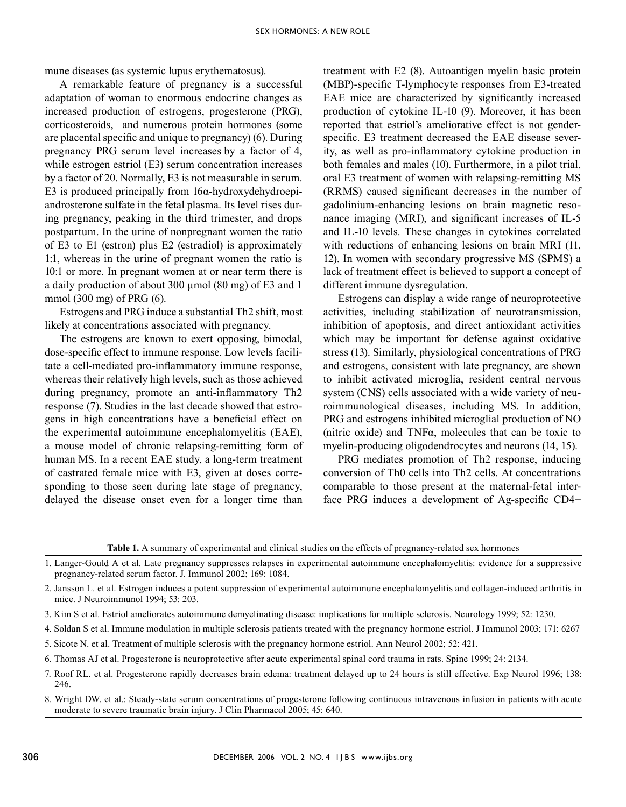mune diseases (as systemic lupus erythematosus).

A remarkable feature of pregnancy is a successful adaptation of woman to enormous endocrine changes as increased production of estrogens, progesterone (PRG), corticosteroids, and numerous protein hormones (some are placental specific and unique to pregnancy) (6). During pregnancy PRG serum level increases by a factor of 4, while estrogen estriol (E3) serum concentration increases by a factor of 20. Normally, E3 is not measurable in serum. E3 is produced principally from  $16\alpha$ -hydroxydehydroepiandrosterone sulfate in the fetal plasma. Its level rises during pregnancy, peaking in the third trimester, and drops postpartum. In the urine of nonpregnant women the ratio of E3 to E1 (estron) plus E2 (estradiol) is approximately 1:1, whereas in the urine of pregnant women the ratio is 10:1 or more. In pregnant women at or near term there is a daily production of about 300 µmol (80 mg) of E3 and 1 mmol (300 mg) of PRG (6).

Estrogens and PRG induce a substantial Th2 shift, most likely at concentrations associated with pregnancy.

The estrogens are known to exert opposing, bimodal, dose-specific effect to immune response. Low levels facilitate a cell-mediated pro-inflammatory immune response, whereas their relatively high levels, such as those achieved during pregnancy, promote an anti-inflammatory Th2 response (7). Studies in the last decade showed that estrogens in high concentrations have a beneficial effect on the experimental autoimmune encephalomyelitis (EAE), a mouse model of chronic relapsing-remitting form of human MS. In a recent EAE study, a long-term treatment of castrated female mice with E3, given at doses corresponding to those seen during late stage of pregnancy, delayed the disease onset even for a longer time than

treatment with E2 (8). Autoantigen myelin basic protein (MBP)-specific T-lymphocyte responses from E3-treated EAE mice are characterized by significantly increased production of cytokine IL-10 (9). Moreover, it has been reported that estriol's ameliorative effect is not genderspecific. E3 treatment decreased the EAE disease severity, as well as pro-inflammatory cytokine production in both females and males (10). Furthermore, in a pilot trial, oral E3 treatment of women with relapsing-remitting MS (RRMS) caused significant decreases in the number of gadolinium-enhancing lesions on brain magnetic resonance imaging (MRI), and significant increases of IL-5 and IL-10 levels. These changes in cytokines correlated with reductions of enhancing lesions on brain MRI (11, 12). In women with secondary progressive MS (SPMS) a lack of treatment effect is believed to support a concept of different immune dysregulation.

Estrogens can display a wide range of neuroprotective activities, including stabilization of neurotransmission, inhibition of apoptosis, and direct antioxidant activities which may be important for defense against oxidative stress (13). Similarly, physiological concentrations of PRG and estrogens, consistent with late pregnancy, are shown to inhibit activated microglia, resident central nervous system (CNS) cells associated with a wide variety of neuroimmunological diseases, including MS. In addition, PRG and estrogens inhibited microglial production of NO (nitric oxide) and TNFα, molecules that can be toxic to myelin-producing oligodendrocytes and neurons (14, 15).

PRG mediates promotion of Th2 response, inducing conversion of Th0 cells into Th2 cells. At concentrations comparable to those present at the maternal-fetal interface PRG induces a development of Ag-specific CD4+

**Table 1.** A summary of experimental and clinical studies on the effects of pregnancy-related sex hormones

- 1. Langer-Gould A et al. Late pregnancy suppresses relapses in experimental autoimmune encephalomyelitis: evidence for a suppressive pregnancy-related serum factor. J. Immunol 2002; 169: 1084.
- 2. Jansson L. et al. Estrogen induces a potent suppression of experimental autoimmune encephalomyelitis and collagen-induced arthritis in mice. J Neuroimmunol 1994; 53: 203.
- 3. Kim S et al. Estriol ameliorates autoimmune demyelinating disease: implications for multiple sclerosis. Neurology 1999; 52: 1230.
- 4. Soldan S et al. Immune modulation in multiple sclerosis patients treated with the pregnancy hormone estriol. J Immunol 2003; 171: 6267
- 5. Sicote N. et al. Treatment of multiple sclerosis with the pregnancy hormone estriol. Ann Neurol 2002; 52: 421.
- 6. Thomas AJ et al. Progesterone is neuroprotective after acute experimental spinal cord trauma in rats. Spine 1999; 24: 2134.
- 7. Roof RL. et al. Progesterone rapidly decreases brain edema: treatment delayed up to 24 hours is still effective. Exp Neurol 1996; 138: 246.
- 8. Wright DW. et al.: Steady-state serum concentrations of progesterone following continuous intravenous infusion in patients with acute moderate to severe traumatic brain injury. J Clin Pharmacol 2005; 45: 640.